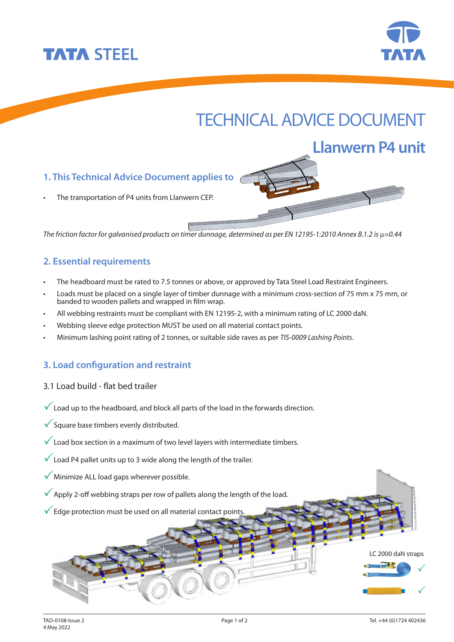



**Llanwern P4 unit**

# TECHNICAL ADVICE DOCUMENT

## **1. This Technical Advice Document applies to**

The transportation of P4 units from Llanwern CFP.

The friction factor for galvanised products on timer dunnage, determined as per EN 12195-1:2010 Annex B.1.2 is  $\mu$ =0.44

### **2. Essential requirements**

- The headboard must be rated to 7.5 tonnes or above, or approved by Tata Steel Load Restraint Engineers.
- Loads must be placed on a single layer of timber dunnage with a minimum cross-section of 75 mm x 75 mm, or banded to wooden pallets and wrapped in film wrap.
- All webbing restraints must be compliant with EN 12195-2, with a minimum rating of LC 2000 daN.
- Webbing sleeve edge protection MUST be used on all material contact points.
- Minimum lashing point rating of 2 tonnes, or suitable side raves as per TIS-0009 Lashing Points.

#### **3. Load configuration and restraint**

- 3.1 Load build flat bed trailer
- $\sqrt{\phantom{a}}$  Load up to the headboard, and block all parts of the load in the forwards direction.
- $\checkmark$  Square base timbers evenly distributed.
- $\checkmark$  Load box section in a maximum of two level layers with intermediate timbers.
- $\sqrt{\ }$  Load P4 pallet units up to 3 wide along the length of the trailer.
- $\sqrt{\ }$  Minimize ALL load gaps wherever possible.
- $\sqrt{\phantom{a}}$  Apply 2-off webbing straps per row of pallets along the length of the load.
- $\checkmark$  Edge protection must be used on all material contact points.